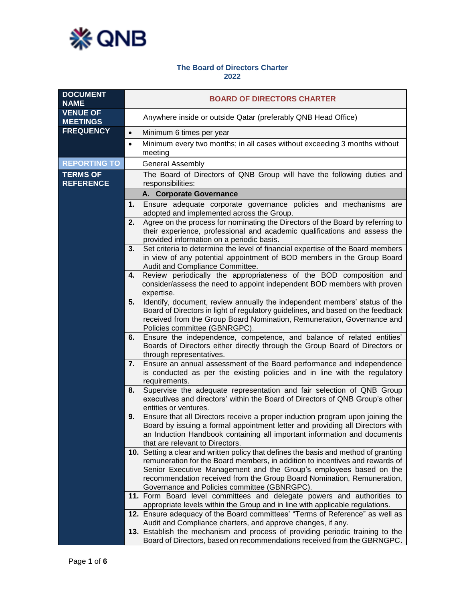

## **The Board of Directors Charter 2022**

| <b>DOCUMENT</b><br><b>NAME</b>      | <b>BOARD OF DIRECTORS CHARTER</b>                                                                                                                                                                                                                                                                                                                                    |
|-------------------------------------|----------------------------------------------------------------------------------------------------------------------------------------------------------------------------------------------------------------------------------------------------------------------------------------------------------------------------------------------------------------------|
| <b>VENUE OF</b><br><b>MEETINGS</b>  | Anywhere inside or outside Qatar (preferably QNB Head Office)                                                                                                                                                                                                                                                                                                        |
| <b>FREQUENCY</b>                    | Minimum 6 times per year<br>$\bullet$                                                                                                                                                                                                                                                                                                                                |
|                                     | Minimum every two months; in all cases without exceeding 3 months without<br>$\bullet$<br>meeting                                                                                                                                                                                                                                                                    |
| <b>REPORTING TO</b>                 | <b>General Assembly</b>                                                                                                                                                                                                                                                                                                                                              |
| <b>TERMS OF</b><br><b>REFERENCE</b> | The Board of Directors of QNB Group will have the following duties and<br>responsibilities:                                                                                                                                                                                                                                                                          |
|                                     | A. Corporate Governance                                                                                                                                                                                                                                                                                                                                              |
|                                     | Ensure adequate corporate governance policies and mechanisms are<br>1.<br>adopted and implemented across the Group.                                                                                                                                                                                                                                                  |
|                                     | Agree on the process for nominating the Directors of the Board by referring to<br>2.<br>their experience, professional and academic qualifications and assess the<br>provided information on a periodic basis.                                                                                                                                                       |
|                                     | Set criteria to determine the level of financial expertise of the Board members<br>3.<br>in view of any potential appointment of BOD members in the Group Board<br>Audit and Compliance Committee.                                                                                                                                                                   |
|                                     | Review periodically the appropriateness of the BOD composition and<br>4.<br>consider/assess the need to appoint independent BOD members with proven<br>expertise.                                                                                                                                                                                                    |
|                                     | Identify, document, review annually the independent members' status of the<br>5.<br>Board of Directors in light of regulatory guidelines, and based on the feedback<br>received from the Group Board Nomination, Remuneration, Governance and<br>Policies committee (GBNRGPC).                                                                                       |
|                                     | Ensure the independence, competence, and balance of related entities'<br>6.<br>Boards of Directors either directly through the Group Board of Directors or<br>through representatives.                                                                                                                                                                               |
|                                     | Ensure an annual assessment of the Board performance and independence<br>7.<br>is conducted as per the existing policies and in line with the regulatory<br>requirements.                                                                                                                                                                                            |
|                                     | Supervise the adequate representation and fair selection of QNB Group<br>8.<br>executives and directors' within the Board of Directors of QNB Group's other<br>entities or ventures.                                                                                                                                                                                 |
|                                     | Ensure that all Directors receive a proper induction program upon joining the<br>9.<br>Board by issuing a formal appointment letter and providing all Directors with<br>an Induction Handbook containing all important information and documents<br>that are relevant to Directors.                                                                                  |
|                                     | 10. Setting a clear and written policy that defines the basis and method of granting<br>remuneration for the Board members, in addition to incentives and rewards of<br>Senior Executive Management and the Group's employees based on the<br>recommendation received from the Group Board Nomination, Remuneration,<br>Governance and Policies committee (GBNRGPC). |
|                                     | 11. Form Board level committees and delegate powers and authorities to<br>appropriate levels within the Group and in line with applicable regulations.                                                                                                                                                                                                               |
|                                     | 12. Ensure adequacy of the Board committees' "Terms of Reference" as well as<br>Audit and Compliance charters, and approve changes, if any.                                                                                                                                                                                                                          |
|                                     | 13. Establish the mechanism and process of providing periodic training to the<br>Board of Directors, based on recommendations received from the GBRNGPC.                                                                                                                                                                                                             |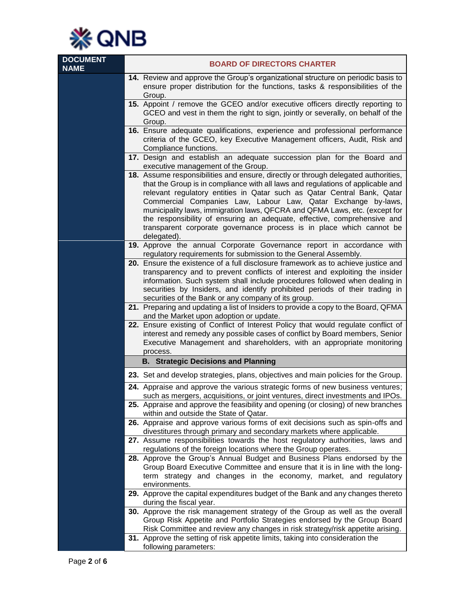

| <b>DOCUMENT</b><br><b>NAME</b> | <b>BOARD OF DIRECTORS CHARTER</b>                                                                                                                                                                                                                                                                                                                                                                                                                                                                                                                                  |
|--------------------------------|--------------------------------------------------------------------------------------------------------------------------------------------------------------------------------------------------------------------------------------------------------------------------------------------------------------------------------------------------------------------------------------------------------------------------------------------------------------------------------------------------------------------------------------------------------------------|
|                                | 14. Review and approve the Group's organizational structure on periodic basis to<br>ensure proper distribution for the functions, tasks & responsibilities of the<br>Group.                                                                                                                                                                                                                                                                                                                                                                                        |
|                                | 15. Appoint / remove the GCEO and/or executive officers directly reporting to<br>GCEO and vest in them the right to sign, jointly or severally, on behalf of the<br>Group.                                                                                                                                                                                                                                                                                                                                                                                         |
|                                | 16. Ensure adequate qualifications, experience and professional performance<br>criteria of the GCEO, key Executive Management officers, Audit, Risk and<br>Compliance functions.                                                                                                                                                                                                                                                                                                                                                                                   |
|                                | 17. Design and establish an adequate succession plan for the Board and<br>executive management of the Group.                                                                                                                                                                                                                                                                                                                                                                                                                                                       |
|                                | 18. Assume responsibilities and ensure, directly or through delegated authorities,<br>that the Group is in compliance with all laws and regulations of applicable and<br>relevant regulatory entities in Qatar such as Qatar Central Bank, Qatar<br>Commercial Companies Law, Labour Law, Qatar Exchange by-laws,<br>municipality laws, immigration laws, QFCRA and QFMA Laws, etc. (except for<br>the responsibility of ensuring an adequate, effective, comprehensive and<br>transparent corporate governance process is in place which cannot be<br>delegated). |
|                                | 19. Approve the annual Corporate Governance report in accordance with<br>regulatory requirements for submission to the General Assembly.                                                                                                                                                                                                                                                                                                                                                                                                                           |
|                                | 20. Ensure the existence of a full disclosure framework as to achieve justice and<br>transparency and to prevent conflicts of interest and exploiting the insider<br>information. Such system shall include procedures followed when dealing in<br>securities by Insiders, and identify prohibited periods of their trading in                                                                                                                                                                                                                                     |
|                                | securities of the Bank or any company of its group.<br>21. Preparing and updating a list of Insiders to provide a copy to the Board, QFMA<br>and the Market upon adoption or update.                                                                                                                                                                                                                                                                                                                                                                               |
|                                | 22. Ensure existing of Conflict of Interest Policy that would regulate conflict of<br>interest and remedy any possible cases of conflict by Board members, Senior<br>Executive Management and shareholders, with an appropriate monitoring<br>process.                                                                                                                                                                                                                                                                                                             |
|                                | <b>B. Strategic Decisions and Planning</b>                                                                                                                                                                                                                                                                                                                                                                                                                                                                                                                         |
|                                | 23. Set and develop strategies, plans, objectives and main policies for the Group.                                                                                                                                                                                                                                                                                                                                                                                                                                                                                 |
|                                | 24. Appraise and approve the various strategic forms of new business ventures;<br>such as mergers, acquisitions, or joint ventures, direct investments and IPOs.                                                                                                                                                                                                                                                                                                                                                                                                   |
|                                | 25. Appraise and approve the feasibility and opening (or closing) of new branches<br>within and outside the State of Qatar.                                                                                                                                                                                                                                                                                                                                                                                                                                        |
|                                | 26. Appraise and approve various forms of exit decisions such as spin-offs and<br>divestitures through primary and secondary markets where applicable.                                                                                                                                                                                                                                                                                                                                                                                                             |
|                                | 27. Assume responsibilities towards the host regulatory authorities, laws and<br>regulations of the foreign locations where the Group operates.                                                                                                                                                                                                                                                                                                                                                                                                                    |
|                                | 28. Approve the Group's Annual Budget and Business Plans endorsed by the<br>Group Board Executive Committee and ensure that it is in line with the long-<br>term strategy and changes in the economy, market, and regulatory<br>environments.                                                                                                                                                                                                                                                                                                                      |
|                                | 29. Approve the capital expenditures budget of the Bank and any changes thereto<br>during the fiscal year.                                                                                                                                                                                                                                                                                                                                                                                                                                                         |
|                                | 30. Approve the risk management strategy of the Group as well as the overall<br>Group Risk Appetite and Portfolio Strategies endorsed by the Group Board<br>Risk Committee and review any changes in risk strategy/risk appetite arising.                                                                                                                                                                                                                                                                                                                          |
|                                | 31. Approve the setting of risk appetite limits, taking into consideration the<br>following parameters:                                                                                                                                                                                                                                                                                                                                                                                                                                                            |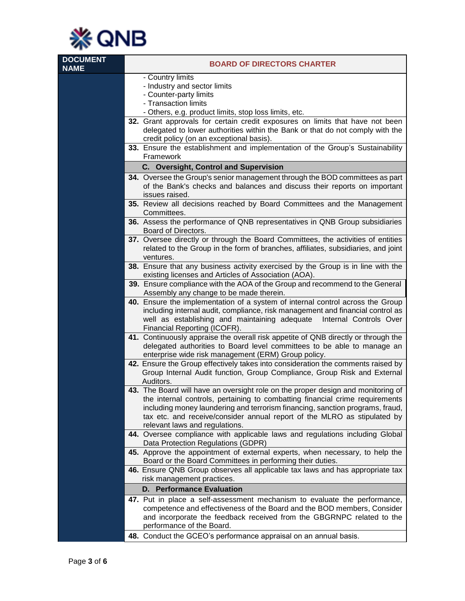

| <b>DOCUMENT</b><br><b>NAME</b> | <b>BOARD OF DIRECTORS CHARTER</b>                                                                                                                                                                          |
|--------------------------------|------------------------------------------------------------------------------------------------------------------------------------------------------------------------------------------------------------|
|                                | - Country limits                                                                                                                                                                                           |
|                                | - Industry and sector limits                                                                                                                                                                               |
|                                | - Counter-party limits                                                                                                                                                                                     |
|                                | - Transaction limits                                                                                                                                                                                       |
|                                | - Others, e.g. product limits, stop loss limits, etc.                                                                                                                                                      |
|                                | 32. Grant approvals for certain credit exposures on limits that have not been<br>delegated to lower authorities within the Bank or that do not comply with the<br>credit policy (on an exceptional basis). |
|                                | 33. Ensure the establishment and implementation of the Group's Sustainability<br>Framework                                                                                                                 |
|                                | C. Oversight, Control and Supervision                                                                                                                                                                      |
|                                | 34. Oversee the Group's senior management through the BOD committees as part                                                                                                                               |
|                                | of the Bank's checks and balances and discuss their reports on important                                                                                                                                   |
|                                | issues raised.                                                                                                                                                                                             |
|                                | 35. Review all decisions reached by Board Committees and the Management<br>Committees.                                                                                                                     |
|                                | 36. Assess the performance of QNB representatives in QNB Group subsidiaries<br>Board of Directors.                                                                                                         |
|                                | 37. Oversee directly or through the Board Committees, the activities of entities<br>related to the Group in the form of branches, affiliates, subsidiaries, and joint<br>ventures.                         |
|                                | 38. Ensure that any business activity exercised by the Group is in line with the                                                                                                                           |
|                                | existing licenses and Articles of Association (AOA).                                                                                                                                                       |
|                                | 39. Ensure compliance with the AOA of the Group and recommend to the General<br>Assembly any change to be made therein.                                                                                    |
|                                | 40. Ensure the implementation of a system of internal control across the Group<br>including internal audit, compliance, risk management and financial control as                                           |
|                                | well as establishing and maintaining adequate Internal Controls Over<br>Financial Reporting (ICOFR).                                                                                                       |
|                                | 41. Continuously appraise the overall risk appetite of QNB directly or through the                                                                                                                         |
|                                | delegated authorities to Board level committees to be able to manage an<br>enterprise wide risk management (ERM) Group policy.                                                                             |
|                                | 42. Ensure the Group effectively takes into consideration the comments raised by<br>Group Internal Audit function, Group Compliance, Group Risk and External<br>Auditors.                                  |
|                                | 43. The Board will have an oversight role on the proper design and monitoring of                                                                                                                           |
|                                | the internal controls, pertaining to combatting financial crime requirements                                                                                                                               |
|                                | including money laundering and terrorism financing, sanction programs, fraud,                                                                                                                              |
|                                | tax etc. and receive/consider annual report of the MLRO as stipulated by                                                                                                                                   |
|                                | relevant laws and regulations.<br>44. Oversee compliance with applicable laws and regulations including Global                                                                                             |
|                                | Data Protection Regulations (GDPR)                                                                                                                                                                         |
|                                | 45. Approve the appointment of external experts, when necessary, to help the                                                                                                                               |
|                                | Board or the Board Committees in performing their duties.                                                                                                                                                  |
|                                | 46. Ensure QNB Group observes all applicable tax laws and has appropriate tax                                                                                                                              |
|                                | risk management practices.                                                                                                                                                                                 |
|                                | <b>D.</b> Performance Evaluation                                                                                                                                                                           |
|                                | 47. Put in place a self-assessment mechanism to evaluate the performance,                                                                                                                                  |
|                                | competence and effectiveness of the Board and the BOD members, Consider<br>and incorporate the feedback received from the GBGRNPC related to the<br>performance of the Board.                              |
|                                | 48. Conduct the GCEO's performance appraisal on an annual basis.                                                                                                                                           |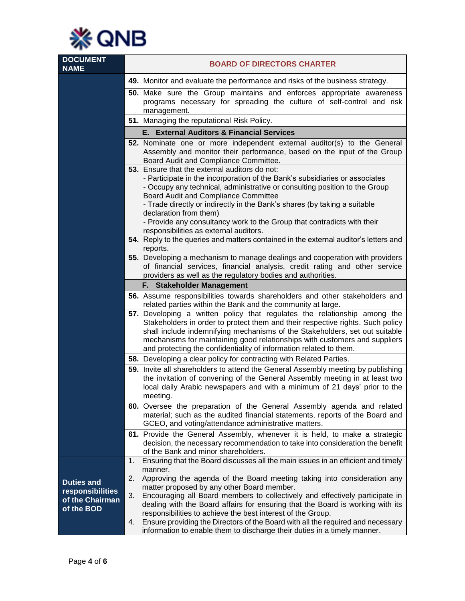

| <b>DOCUMENT</b><br><b>NAME</b>                                         | <b>BOARD OF DIRECTORS CHARTER</b>                                                                                                                                                                                                                                                                                                                                                              |
|------------------------------------------------------------------------|------------------------------------------------------------------------------------------------------------------------------------------------------------------------------------------------------------------------------------------------------------------------------------------------------------------------------------------------------------------------------------------------|
|                                                                        | 49. Monitor and evaluate the performance and risks of the business strategy.                                                                                                                                                                                                                                                                                                                   |
|                                                                        | 50. Make sure the Group maintains and enforces appropriate awareness<br>programs necessary for spreading the culture of self-control and risk<br>management.                                                                                                                                                                                                                                   |
|                                                                        | 51. Managing the reputational Risk Policy.                                                                                                                                                                                                                                                                                                                                                     |
|                                                                        | <b>External Auditors &amp; Financial Services</b><br>Е.                                                                                                                                                                                                                                                                                                                                        |
|                                                                        | 52. Nominate one or more independent external auditor(s) to the General<br>Assembly and monitor their performance, based on the input of the Group<br>Board Audit and Compliance Committee.                                                                                                                                                                                                    |
|                                                                        | 53. Ensure that the external auditors do not:<br>- Participate in the incorporation of the Bank's subsidiaries or associates<br>- Occupy any technical, administrative or consulting position to the Group<br>Board Audit and Compliance Committee<br>- Trade directly or indirectly in the Bank's shares (by taking a suitable<br>declaration from them)                                      |
|                                                                        | - Provide any consultancy work to the Group that contradicts with their<br>responsibilities as external auditors.                                                                                                                                                                                                                                                                              |
|                                                                        | 54. Reply to the queries and matters contained in the external auditor's letters and<br>reports.                                                                                                                                                                                                                                                                                               |
|                                                                        | 55. Developing a mechanism to manage dealings and cooperation with providers<br>of financial services, financial analysis, credit rating and other service<br>providers as well as the regulatory bodies and authorities.                                                                                                                                                                      |
|                                                                        | F. Stakeholder Management                                                                                                                                                                                                                                                                                                                                                                      |
|                                                                        | 56. Assume responsibilities towards shareholders and other stakeholders and<br>related parties within the Bank and the community at large.                                                                                                                                                                                                                                                     |
|                                                                        | 57. Developing a written policy that regulates the relationship among the<br>Stakeholders in order to protect them and their respective rights. Such policy<br>shall include indemnifying mechanisms of the Stakeholders, set out suitable<br>mechanisms for maintaining good relationships with customers and suppliers<br>and protecting the confidentiality of information related to them. |
|                                                                        | 58. Developing a clear policy for contracting with Related Parties.                                                                                                                                                                                                                                                                                                                            |
|                                                                        | 59. Invite all shareholders to attend the General Assembly meeting by publishing<br>the invitation of convening of the General Assembly meeting in at least two<br>local daily Arabic newspapers and with a minimum of 21 days' prior to the<br>meetina.                                                                                                                                       |
|                                                                        | 60. Oversee the preparation of the General Assembly agenda and related<br>material; such as the audited financial statements, reports of the Board and<br>GCEO, and voting/attendance administrative matters.                                                                                                                                                                                  |
|                                                                        | 61. Provide the General Assembly, whenever it is held, to make a strategic<br>decision, the necessary recommendation to take into consideration the benefit<br>of the Bank and minor shareholders.                                                                                                                                                                                             |
|                                                                        | Ensuring that the Board discusses all the main issues in an efficient and timely<br>1.<br>manner.<br>2.<br>Approving the agenda of the Board meeting taking into consideration any                                                                                                                                                                                                             |
| <b>Duties and</b><br>responsibilities<br>of the Chairman<br>of the BOD | matter proposed by any other Board member.<br>3.<br>Encouraging all Board members to collectively and effectively participate in<br>dealing with the Board affairs for ensuring that the Board is working with its<br>responsibilities to achieve the best interest of the Group.                                                                                                              |
|                                                                        | Ensure providing the Directors of the Board with all the required and necessary<br>4.<br>information to enable them to discharge their duties in a timely manner.                                                                                                                                                                                                                              |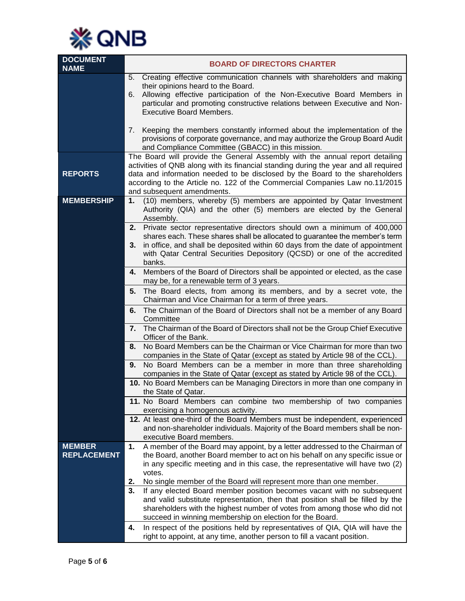

| <b>DOCUMENT</b><br><b>NAME</b>      | <b>BOARD OF DIRECTORS CHARTER</b>                                                                                                                                    |
|-------------------------------------|----------------------------------------------------------------------------------------------------------------------------------------------------------------------|
|                                     | Creating effective communication channels with shareholders and making<br>5.<br>their opinions heard to the Board.                                                   |
|                                     | Allowing effective participation of the Non-Executive Board Members in<br>6.<br>particular and promoting constructive relations between Executive and Non-           |
|                                     | <b>Executive Board Members.</b>                                                                                                                                      |
|                                     | 7. Keeping the members constantly informed about the implementation of the                                                                                           |
|                                     | provisions of corporate governance, and may authorize the Group Board Audit<br>and Compliance Committee (GBACC) in this mission.                                     |
|                                     | The Board will provide the General Assembly with the annual report detailing<br>activities of QNB along with its financial standing during the year and all required |
| <b>REPORTS</b>                      | data and information needed to be disclosed by the Board to the shareholders                                                                                         |
|                                     | according to the Article no. 122 of the Commercial Companies Law no.11/2015<br>and subsequent amendments.                                                            |
| <b>MEMBERSHIP</b>                   | (10) members, whereby (5) members are appointed by Qatar Investment<br>1.<br>Authority (QIA) and the other (5) members are elected by the General<br>Assembly.       |
|                                     | 2. Private sector representative directors should own a minimum of 400,000                                                                                           |
|                                     | shares each. These shares shall be allocated to guarantee the member's term<br>in office, and shall be deposited within 60 days from the date of appointment<br>3.   |
|                                     | with Qatar Central Securities Depository (QCSD) or one of the accredited<br>banks.                                                                                   |
|                                     | Members of the Board of Directors shall be appointed or elected, as the case<br>4.<br>may be, for a renewable term of 3 years.                                       |
|                                     | The Board elects, from among its members, and by a secret vote, the<br>5.<br>Chairman and Vice Chairman for a term of three years.                                   |
|                                     | The Chairman of the Board of Directors shall not be a member of any Board<br>6.<br>Committee                                                                         |
|                                     | 7.<br>The Chairman of the Board of Directors shall not be the Group Chief Executive<br>Officer of the Bank.                                                          |
|                                     | No Board Members can be the Chairman or Vice Chairman for more than two<br>8.<br>companies in the State of Qatar (except as stated by Article 98 of the CCL).        |
|                                     | 9.<br>No Board Members can be a member in more than three shareholding<br>companies in the State of Qatar (except as stated by Article 98 of the CCL).               |
|                                     | 10. No Board Members can be Managing Directors in more than one company in<br>the State of Qatar.                                                                    |
|                                     | 11. No Board Members can combine two membership of two companies<br>exercising a homogenous activity.                                                                |
|                                     | 12. At least one-third of the Board Members must be independent, experienced                                                                                         |
|                                     | and non-shareholder individuals. Majority of the Board members shall be non-<br>executive Board members.                                                             |
| <b>MEMBER</b><br><b>REPLACEMENT</b> | A member of the Board may appoint, by a letter addressed to the Chairman of<br>1.<br>the Board, another Board member to act on his behalf on any specific issue or   |
|                                     | in any specific meeting and in this case, the representative will have two (2)                                                                                       |
|                                     | votes.<br>2.<br>No single member of the Board will represent more than one member.                                                                                   |
|                                     | If any elected Board member position becomes vacant with no subsequent<br>3.                                                                                         |
|                                     | and valid substitute representation, then that position shall be filled by the<br>shareholders with the highest number of votes from among those who did not         |
|                                     | succeed in winning membership on election for the Board.                                                                                                             |
|                                     | In respect of the positions held by representatives of QIA, QIA will have the<br>4.<br>right to appoint, at any time, another person to fill a vacant position.      |